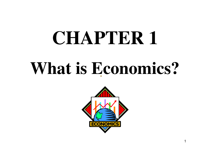# **CHAPTER 1What is Economics?**



1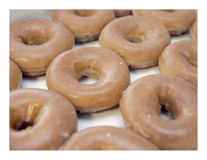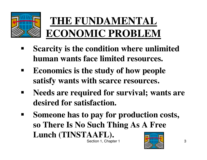

## **THE FUNDAMENTAL ECONOMIC PROBLEM**

- **Scarcity is the condition where unlimited**   $\blacksquare$ **human wants face limited resources.**
- $\blacksquare$  **Economics is the study of how people satisfy wants with scarce resources.**
- $\blacksquare$  **Needs are required for survival; wants are desired for satisfaction.**
- Section 1, Chapter 1 $\blacksquare$  **Someone has to pay for production costs, so There Is No Such Thing As A Free Lunch (TINSTAAFL).**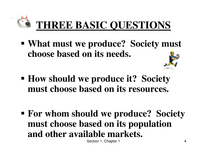# **THREE BASIC QUESTIONS**

 **What must we produce? Society must choose based on its needs.**



- **How should we produce it? Society must choose based on its resources.**
- **For whom should we produce? Society must choose based on its population and other available markets.**

Section 1, Chapter 1 $\frac{1}{4}$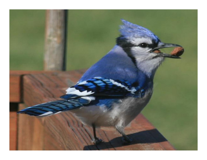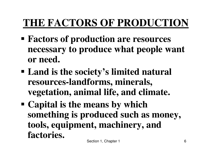# **THE FACTORS OF PRODUCTION**

- **Factors of production are resources necessary to produce what people want or need.**
- **Land is the society's limited natural resources-landforms, minerals, vegetation, animal life, and climate.**
- **Capital is the means by which something is produced such as money, tools, equipment, machinery, and factories.**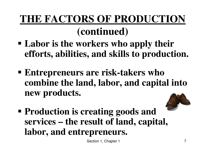#### **THE FACTORS OF PRODUCTION(continued)**

- **Labor is the workers who apply their efforts, abilities, and skills to production.**
- **Entrepreneurs are risk-takers who combine the land, labor, and capital into new products.**
- **Production is creating goods and services – the result of land, capital, labor, and entrepreneurs.**

Section 1, Chapter 1 $\frac{1}{7}$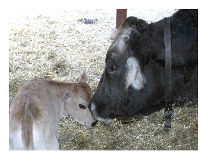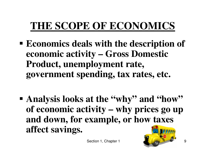# **THE SCOPE OF ECONOMICS**

- **Example 1 B Example 10 B Example 3 B Example 3 B Example 3 B Example 3 B Example 4 B Example 4 B Example 4 B Example 4 B Example 4 B Example 4 B Example 4 B Example 4 B Example 4 B Example 4 B Example 4 B Example 4 B Exam economic activity – Gross Domestic Product, unemployment rate, government spending, tax rates, etc.**
- **Analysis looks at the "why" and "how" of economic activity – why prices go up and down, for example, or how taxes affect savings.**

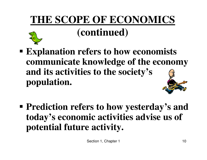# **THE SCOPE OF ECONOMICS(continued)**

- **Explanation refers to how economists communicate knowledge of the economy and its activities to the society's population.**
- **Prediction refers to how yesterday's and today's economic activities advise us of potential future activity.**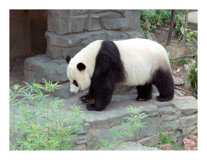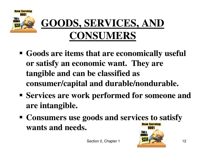

#### **GOODS, SERVICES, AND CONSUMERS**

- **Goods are items that are economically useful or satisfy an economic want. They are tangible and can be classified as consumer/capital and durable/nondurable.**
- **Services are work performed for someone and are intangible.**
- **Consumers use goods and services to satisfy wants and needs.**

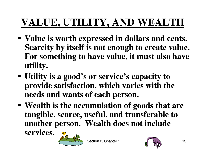# **VALUE, UTILITY, AND WEALTH**

- **Value is worth expressed in dollars and cents. Scarcity by itself is not enough to create value. For something to have value, it must also have utility.**
- **Utility is a good's or service's capacity to provide satisfaction, which varies with the needs and wants of each person.**
- **Wealth is the accumulation of goods that are tangible, scarce, useful, and transferable to another person. Wealth does not include**

**services.**



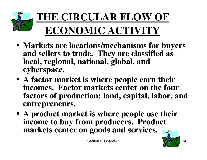# **THE CIRCULAR FLOW OF ECONOMIC ACTIVITY**

- **Markets are locations/mechanisms for buyers and sellers to trade. They are classified as local, regional, national, global, and cyberspace.**
- **A factor market is where people earn their incomes. Factor markets center on the four factors of production: land, capital, labor, and entrepreneurs.**
- **A product market is where people use their income to buy from producers. Product markets center on goods and services.**

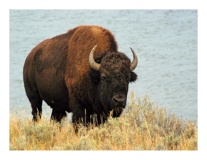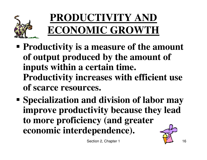

# **PRODUCTIVITY AND ECONOMIC GROWTH**

- **Productivity is a measure of the amount of output produced by the amount of inputs within a certain time. Productivity increases with efficient use of scarce resources.**
- **Specialization and division of labor may improve productivity because they lead to more proficiency (and greater economic interdependence).**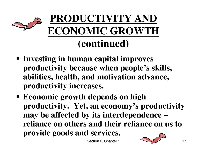

#### **PRODUCTIVITY AND ECONOMIC GROWTH(continued)**

- **Investing in human capital improves productivity because when people's skills, abilities, health, and motivation advance, productivity increases.**
- **Economic growth depends on high productivity. Yet, an economy's productivity may be affected by its interdependence – reliance on others and their reliance on us to provide goods and services.**

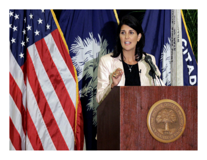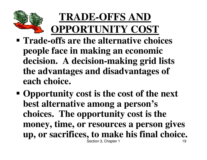

## **TRADE-OFFS AND OPPORTUNITY COST**

- **Trade-offs are the alternative choices people face in making an economic decision. A decision-making grid lists the advantages and disadvantages of each choice.**
- Section 3, Chapter 1 $1$  **Opportunity cost is the cost of the next best alternative among a person's choices. The opportunity cost is the money, time, or resources a person gives up, or sacrifices, to make his final choice.**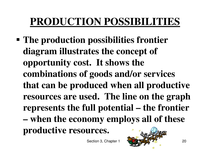#### **PRODUCTION POSSIBILITIES**

 **The production possibilities frontier diagram illustrates the concept of opportunity cost. It shows the combinations of goods and/or services that can be produced when all productive resources are used. The line on the graph represents the full potential – the frontier – when the economy employs all of these productive resources.**

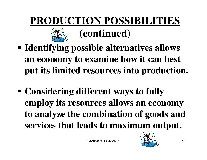# **PRODUCTION POSSIBILITIES(continued)**

- **Identifying possible alternatives allows an economy to examine how it can best put its limited resources into production.**
- **Considering different ways to fully employ its resources allows an economy to analyze the combination of goods and services that leads to maximum output.**

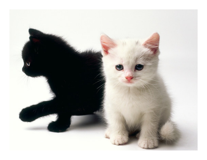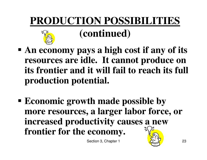# **PRODUCTION POSSIBILITIES(continued)**

- **An economy pays a high cost if any of its resources are idle. It cannot produce on its frontier and it will fail to reach its full production potential.**
- **Example 5 Exconomic growth made possible by more resources, a larger labor force, or increased productivity causes a new frontier for the economy.**